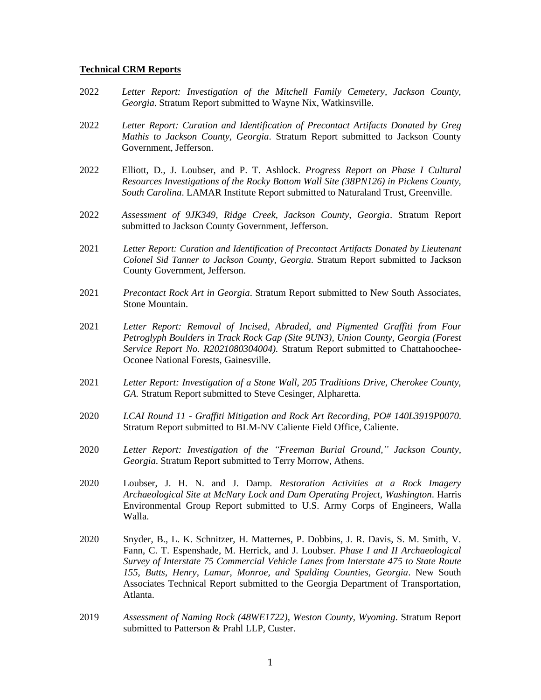## **Technical CRM Reports**

- 2022 *Letter Report: Investigation of the Mitchell Family Cemetery, Jackson County, Georgia*. Stratum Report submitted to Wayne Nix, Watkinsville.
- 2022 *Letter Report: Curation and Identification of Precontact Artifacts Donated by Greg Mathis to Jackson County, Georgia*. Stratum Report submitted to Jackson County Government, Jefferson.
- 2022 Elliott, D., J. Loubser, and P. T. Ashlock. *Progress Report on Phase I Cultural Resources Investigations of the Rocky Bottom Wall Site (38PN126) in Pickens County, South Carolina*. LAMAR Institute Report submitted to Naturaland Trust, Greenville.
- 2022 *Assessment of 9JK349, Ridge Creek, Jackson County, Georgia*. Stratum Report submitted to Jackson County Government, Jefferson.
- 2021 *Letter Report: Curation and Identification of Precontact Artifacts Donated by Lieutenant Colonel Sid Tanner to Jackson County, Georgia*. Stratum Report submitted to Jackson County Government, Jefferson.
- 2021 *Precontact Rock Art in Georgia*. Stratum Report submitted to New South Associates, Stone Mountain.
- 2021 *Letter Report: Removal of Incised, Abraded, and Pigmented Graffiti from Four Petroglyph Boulders in Track Rock Gap (Site 9UN3), Union County, Georgia (Forest Service Report No. R2021080304004).* Stratum Report submitted to Chattahoochee-Oconee National Forests, Gainesville.
- 2021 *Letter Report: Investigation of a Stone Wall, 205 Traditions Drive, Cherokee County, GA.* Stratum Report submitted to Steve Cesinger, Alpharetta.
- 2020 *LCAI Round 11 - Graffiti Mitigation and Rock Art Recording, PO# 140L3919P0070*. Stratum Report submitted to BLM-NV Caliente Field Office, Caliente.
- 2020 *Letter Report: Investigation of the "Freeman Burial Ground," Jackson County, Georgia*. Stratum Report submitted to Terry Morrow, Athens.
- 2020 Loubser, J. H. N. and J. Damp. *Restoration Activities at a Rock Imagery Archaeological Site at McNary Lock and Dam Operating Project, Washington*. Harris Environmental Group Report submitted to U.S. Army Corps of Engineers, Walla Walla.
- 2020 Snyder, B., L. K. Schnitzer, H. Matternes, P. Dobbins, J. R. Davis, S. M. Smith, V. Fann, C. T. Espenshade, M. Herrick, and J. Loubser. *Phase I and II Archaeological Survey of Interstate 75 Commercial Vehicle Lanes from Interstate 475 to State Route 155, Butts, Henry, Lamar, Monroe, and Spalding Counties, Georgia*. New South Associates Technical Report submitted to the Georgia Department of Transportation, Atlanta.
- 2019 *Assessment of Naming Rock (48WE1722), Weston County, Wyoming*. Stratum Report submitted to Patterson & Prahl LLP, Custer.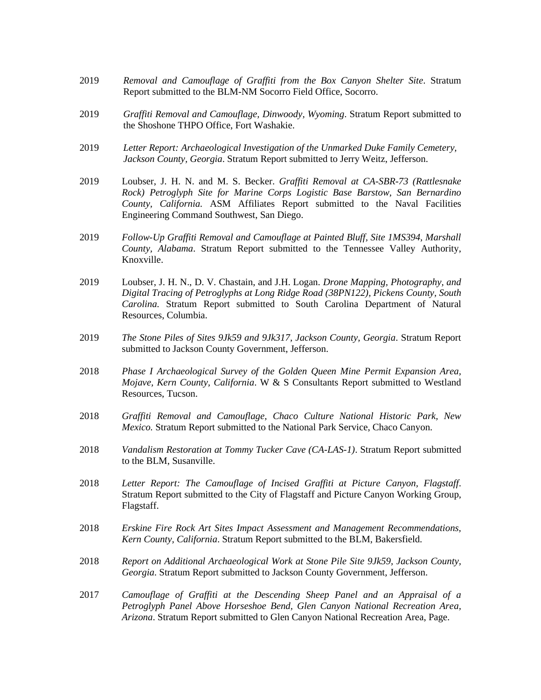- 2019 *Removal and Camouflage of Graffiti from the Box Canyon Shelter Site*. Stratum Report submitted to the BLM-NM Socorro Field Office, Socorro.
- 2019 *Graffiti Removal and Camouflage, Dinwoody, Wyoming*. Stratum Report submitted to the Shoshone THPO Office, Fort Washakie.
- 2019 *Letter Report: Archaeological Investigation of the Unmarked Duke Family Cemetery, Jackson County, Georgia*. Stratum Report submitted to Jerry Weitz, Jefferson.
- 2019 Loubser, J. H. N. and M. S. Becker. *Graffiti Removal at CA-SBR-73 (Rattlesnake Rock) Petroglyph Site for Marine Corps Logistic Base Barstow, San Bernardino County, California.* ASM Affiliates Report submitted to the Naval Facilities Engineering Command Southwest, San Diego.
- 2019 *Follow-Up Graffiti Removal and Camouflage at Painted Bluff, Site 1MS394, Marshall County, Alabama*. Stratum Report submitted to the Tennessee Valley Authority, Knoxville.
- 2019 Loubser, J. H. N., D. V. Chastain, and J.H. Logan. *Drone Mapping, Photography, and Digital Tracing of Petroglyphs at Long Ridge Road (38PN122), Pickens County, South Carolina.* Stratum Report submitted to South Carolina Department of Natural Resources, Columbia.
- 2019 *The Stone Piles of Sites 9Jk59 and 9Jk317, Jackson County, Georgia*. Stratum Report submitted to Jackson County Government, Jefferson.
- 2018 *Phase I Archaeological Survey of the Golden Queen Mine Permit Expansion Area, Mojave, Kern County, California*. W & S Consultants Report submitted to Westland Resources, Tucson.
- 2018 *Graffiti Removal and Camouflage, Chaco Culture National Historic Park, New Mexico.* Stratum Report submitted to the National Park Service, Chaco Canyon.
- 2018 *Vandalism Restoration at Tommy Tucker Cave (CA-LAS-1)*. Stratum Report submitted to the BLM, Susanville.
- 2018 *Letter Report: The Camouflage of Incised Graffiti at Picture Canyon, Flagstaff*. Stratum Report submitted to the City of Flagstaff and Picture Canyon Working Group, Flagstaff.
- 2018 *Erskine Fire Rock Art Sites Impact Assessment and Management Recommendations, Kern County, California*. Stratum Report submitted to the BLM, Bakersfield.
- 2018 *Report on Additional Archaeological Work at Stone Pile Site 9Jk59, Jackson County, Georgia*. Stratum Report submitted to Jackson County Government, Jefferson.
- 2017 *Camouflage of Graffiti at the Descending Sheep Panel and an Appraisal of a Petroglyph Panel Above Horseshoe Bend, Glen Canyon National Recreation Area, Arizona*. Stratum Report submitted to Glen Canyon National Recreation Area, Page.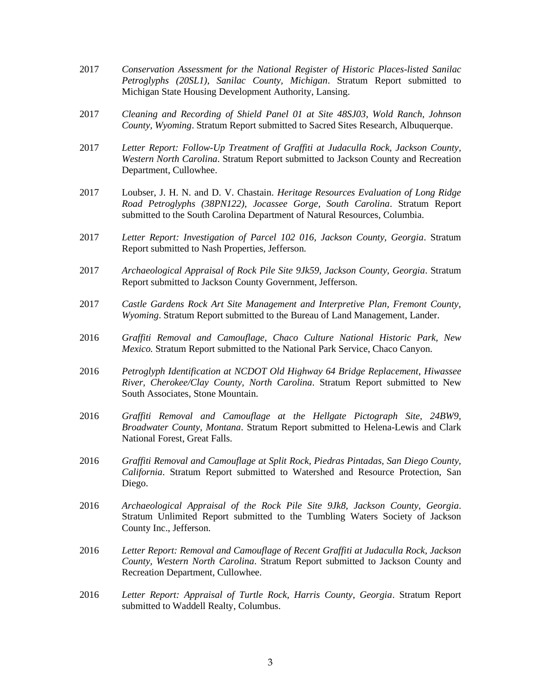- 2017 *Conservation Assessment for the National Register of Historic Places-listed Sanilac Petroglyphs (20SL1), Sanilac County, Michigan*. Stratum Report submitted to Michigan State Housing Development Authority, Lansing.
- 2017 *Cleaning and Recording of Shield Panel 01 at Site 48SJ03, Wold Ranch, Johnson County, Wyoming*. Stratum Report submitted to Sacred Sites Research, Albuquerque.
- 2017 *Letter Report: Follow-Up Treatment of Graffiti at Judaculla Rock, Jackson County, Western North Carolina*. Stratum Report submitted to Jackson County and Recreation Department, Cullowhee.
- 2017 Loubser, J. H. N. and D. V. Chastain. *Heritage Resources Evaluation of Long Ridge Road Petroglyphs (38PN122), Jocassee Gorge, South Carolina*. Stratum Report submitted to the South Carolina Department of Natural Resources, Columbia.
- 2017 *Letter Report: Investigation of Parcel 102 016, Jackson County, Georgia*. Stratum Report submitted to Nash Properties, Jefferson.
- 2017 *Archaeological Appraisal of Rock Pile Site 9Jk59, Jackson County, Georgia*. Stratum Report submitted to Jackson County Government, Jefferson.
- 2017 *Castle Gardens Rock Art Site Management and Interpretive Plan, Fremont County, Wyoming*. Stratum Report submitted to the Bureau of Land Management, Lander.
- 2016 *Graffiti Removal and Camouflage, Chaco Culture National Historic Park, New Mexico.* Stratum Report submitted to the National Park Service, Chaco Canyon.
- 2016 *Petroglyph Identification at NCDOT Old Highway 64 Bridge Replacement, Hiwassee River, Cherokee/Clay County, North Carolina*. Stratum Report submitted to New South Associates, Stone Mountain.
- 2016 *Graffiti Removal and Camouflage at the Hellgate Pictograph Site, 24BW9, Broadwater County, Montana*. Stratum Report submitted to Helena-Lewis and Clark National Forest, Great Falls.
- 2016 *Graffiti Removal and Camouflage at Split Rock, Piedras Pintadas, San Diego County, California*. Stratum Report submitted to Watershed and Resource Protection, San Diego.
- 2016 *Archaeological Appraisal of the Rock Pile Site 9Jk8, Jackson County, Georgia*. Stratum Unlimited Report submitted to the Tumbling Waters Society of Jackson County Inc., Jefferson.
- 2016 *Letter Report: Removal and Camouflage of Recent Graffiti at Judaculla Rock, Jackson County, Western North Carolina*. Stratum Report submitted to Jackson County and Recreation Department, Cullowhee.
- 2016 *Letter Report: Appraisal of Turtle Rock, Harris County, Georgia*. Stratum Report submitted to Waddell Realty, Columbus.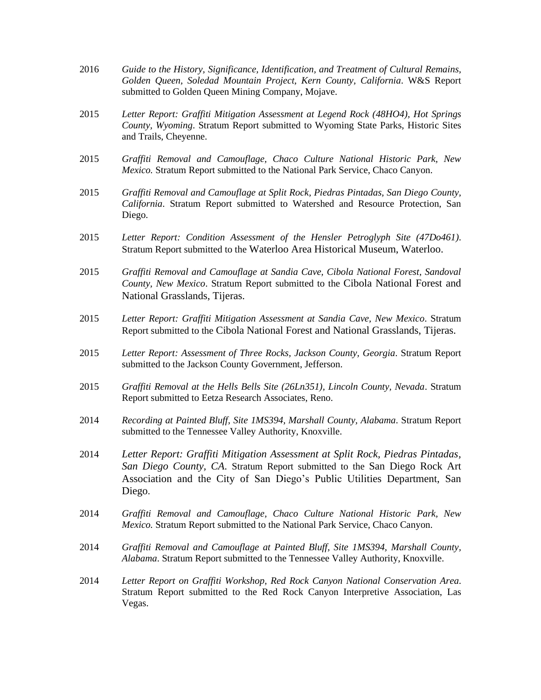- 2016 *Guide to the History, Significance, Identification, and Treatment of Cultural Remains, Golden Queen, Soledad Mountain Project, Kern County, California*. W&S Report submitted to Golden Queen Mining Company, Mojave.
- 2015 *Letter Report: Graffiti Mitigation Assessment at Legend Rock (48HO4), Hot Springs County, Wyoming*. Stratum Report submitted to Wyoming State Parks, Historic Sites and Trails, Cheyenne.
- 2015 *Graffiti Removal and Camouflage, Chaco Culture National Historic Park, New Mexico.* Stratum Report submitted to the National Park Service, Chaco Canyon.
- 2015 *Graffiti Removal and Camouflage at Split Rock, Piedras Pintadas, San Diego County, California*. Stratum Report submitted to Watershed and Resource Protection, San Diego.
- 2015 *Letter Report: Condition Assessment of the Hensler Petroglyph Site (47Do461)*. Stratum Report submitted to the Waterloo Area Historical Museum, Waterloo.
- 2015 *Graffiti Removal and Camouflage at Sandia Cave, Cibola National Forest, Sandoval County, New Mexico*. Stratum Report submitted to the Cibola National Forest and National Grasslands, Tijeras.
- 2015 *Letter Report: Graffiti Mitigation Assessment at Sandia Cave, New Mexico*. Stratum Report submitted to the Cibola National Forest and National Grasslands, Tijeras.
- 2015 *Letter Report: Assessment of Three Rocks, Jackson County, Georgia*. Stratum Report submitted to the Jackson County Government, Jefferson.
- 2015 *Graffiti Removal at the Hells Bells Site (26Ln351), Lincoln County, Nevada*. Stratum Report submitted to Eetza Research Associates, Reno.
- 2014 *Recording at Painted Bluff, Site 1MS394, Marshall County, Alabama*. Stratum Report submitted to the Tennessee Valley Authority, Knoxville.
- 2014 *Letter Report: Graffiti Mitigation Assessment at Split Rock, Piedras Pintadas, San Diego County, CA*. Stratum Report submitted to the San Diego Rock Art Association and the City of San Diego's Public Utilities Department, San Diego.
- 2014 *Graffiti Removal and Camouflage, Chaco Culture National Historic Park, New Mexico.* Stratum Report submitted to the National Park Service, Chaco Canyon.
- 2014 *Graffiti Removal and Camouflage at Painted Bluff, Site 1MS394, Marshall County, Alabama*. Stratum Report submitted to the Tennessee Valley Authority, Knoxville.
- 2014 *Letter Report on Graffiti Workshop, Red Rock Canyon National Conservation Area*. Stratum Report submitted to the Red Rock Canyon Interpretive Association, Las Vegas.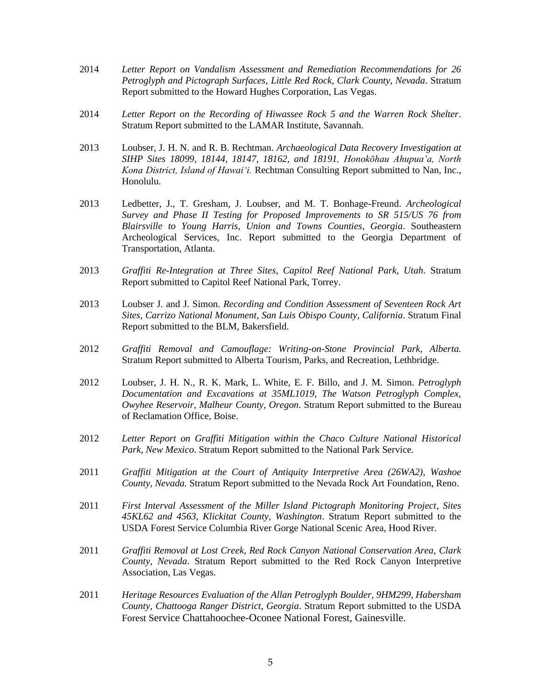- 2014 *Letter Report on Vandalism Assessment and Remediation Recommendations for 26 Petroglyph and Pictograph Surfaces, Little Red Rock, Clark County, Nevada*. Stratum Report submitted to the Howard Hughes Corporation, Las Vegas.
- 2014 *Letter Report on the Recording of Hiwassee Rock 5 and the Warren Rock Shelter*. Stratum Report submitted to the LAMAR Institute, Savannah.
- 2013 Loubser, J. H. N. and R. B. Rechtman. *Archaeological Data Recovery Investigation at SIHP Sites 18099, 18144, 18147, 18162, and 18191, Honokōhau Ahupua'a, North Kona District, Island of Hawai'i.* Rechtman Consulting Report submitted to Nan, Inc., Honolulu.
- 2013 Ledbetter, J., T. Gresham, J. Loubser, and M. T. Bonhage-Freund. *Archeological Survey and Phase II Testing for Proposed Improvements to SR 515/US 76 from Blairsville to Young Harris, Union and Towns Counties, Georgia*. Southeastern Archeological Services, Inc. Report submitted to the Georgia Department of Transportation, Atlanta.
- 2013 *Graffiti Re-Integration at Three Sites, Capitol Reef National Park, Utah*. Stratum Report submitted to Capitol Reef National Park, Torrey.
- 2013 Loubser J. and J. Simon. *Recording and Condition Assessment of Seventeen Rock Art Sites, Carrizo National Monument, San Luis Obispo County, California*. Stratum Final Report submitted to the BLM, Bakersfield.
- 2012 *Graffiti Removal and Camouflage: Writing-on-Stone Provincial Park, Alberta.* Stratum Report submitted to Alberta Tourism, Parks, and Recreation, Lethbridge.
- 2012 Loubser, J. H. N., R. K. Mark, L. White, E. F. Billo, and J. M. Simon. *Petroglyph Documentation and Excavations at 35ML1019, The Watson Petroglyph Complex, Owyhee Reservoir, Malheur County, Oregon*. Stratum Report submitted to the Bureau of Reclamation Office, Boise.
- 2012 *Letter Report on Graffiti Mitigation within the Chaco Culture National Historical Park, New Mexico*. Stratum Report submitted to the National Park Service.
- 2011 *Graffiti Mitigation at the Court of Antiquity Interpretive Area (26WA2), Washoe County, Nevada.* Stratum Report submitted to the Nevada Rock Art Foundation, Reno.
- 2011 *First Interval Assessment of the Miller Island Pictograph Monitoring Project, Sites 45KL62 and 4563, Klickitat County, Washington*. Stratum Report submitted to the USDA Forest Service Columbia River Gorge National Scenic Area, Hood River.
- 2011 *Graffiti Removal at Lost Creek, Red Rock Canyon National Conservation Area, Clark County, Nevada*. Stratum Report submitted to the Red Rock Canyon Interpretive Association, Las Vegas.
- 2011 *Heritage Resources Evaluation of the Allan Petroglyph Boulder, 9HM299, Habersham County, Chattooga Ranger District, Georgia*. Stratum Report submitted to the USDA Forest Service Chattahoochee-Oconee National Forest, Gainesville.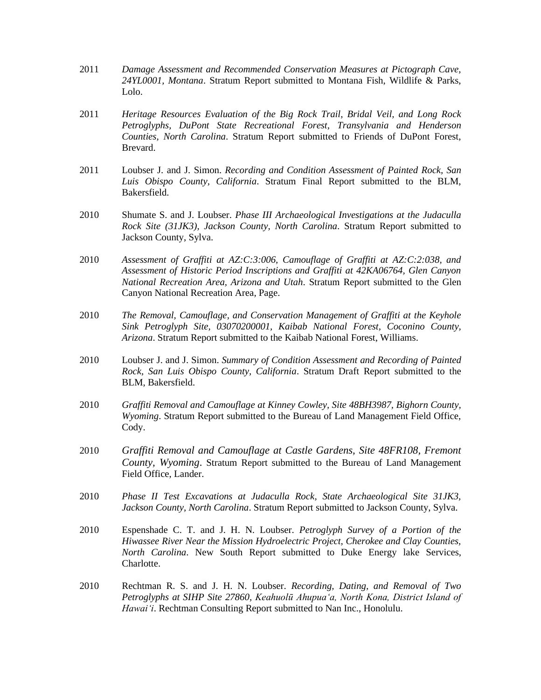- 2011 *Damage Assessment and Recommended Conservation Measures at Pictograph Cave, 24YL0001, Montana*. Stratum Report submitted to Montana Fish, Wildlife & Parks, Lolo.
- 2011 *Heritage Resources Evaluation of the Big Rock Trail, Bridal Veil, and Long Rock Petroglyphs, DuPont State Recreational Forest, Transylvania and Henderson Counties, North Carolina*. Stratum Report submitted to Friends of DuPont Forest, Brevard.
- 2011 Loubser J. and J. Simon. *Recording and Condition Assessment of Painted Rock, San Luis Obispo County, California*. Stratum Final Report submitted to the BLM, Bakersfield.
- 2010 Shumate S. and J. Loubser. *Phase III Archaeological Investigations at the Judaculla Rock Site (31JK3), Jackson County, North Carolina*. Stratum Report submitted to Jackson County, Sylva.
- 2010 *Assessment of Graffiti at AZ:C:3:006, Camouflage of Graffiti at AZ:C:2:038, and Assessment of Historic Period Inscriptions and Graffiti at 42KA06764, Glen Canyon National Recreation Area, Arizona and Utah*. Stratum Report submitted to the Glen Canyon National Recreation Area, Page.
- 2010 *The Removal, Camouflage, and Conservation Management of Graffiti at the Keyhole Sink Petroglyph Site, 03070200001, Kaibab National Forest, Coconino County, Arizona*. Stratum Report submitted to the Kaibab National Forest, Williams.
- 2010 Loubser J. and J. Simon. *Summary of Condition Assessment and Recording of Painted Rock, San Luis Obispo County, California*. Stratum Draft Report submitted to the BLM, Bakersfield.
- 2010 *Graffiti Removal and Camouflage at Kinney Cowley, Site 48BH3987, Bighorn County, Wyoming*. Stratum Report submitted to the Bureau of Land Management Field Office, Cody.
- 2010 *Graffiti Removal and Camouflage at Castle Gardens, Site 48FR108, Fremont County, Wyoming*. Stratum Report submitted to the Bureau of Land Management Field Office, Lander.
- 2010 *Phase II Test Excavations at Judaculla Rock, State Archaeological Site 31JK3, Jackson County, North Carolina*. Stratum Report submitted to Jackson County, Sylva.
- 2010 Espenshade C. T. and J. H. N. Loubser. *Petroglyph Survey of a Portion of the Hiwassee River Near the Mission Hydroelectric Project, Cherokee and Clay Counties, North Carolina*. New South Report submitted to Duke Energy lake Services, Charlotte.
- 2010 Rechtman R. S. and J. H. N. Loubser. *Recording, Dating, and Removal of Two Petroglyphs at SIHP Site 27860, Keahuolū Ahupua'a, North Kona, District Island of Hawai'i*. Rechtman Consulting Report submitted to Nan Inc., Honolulu.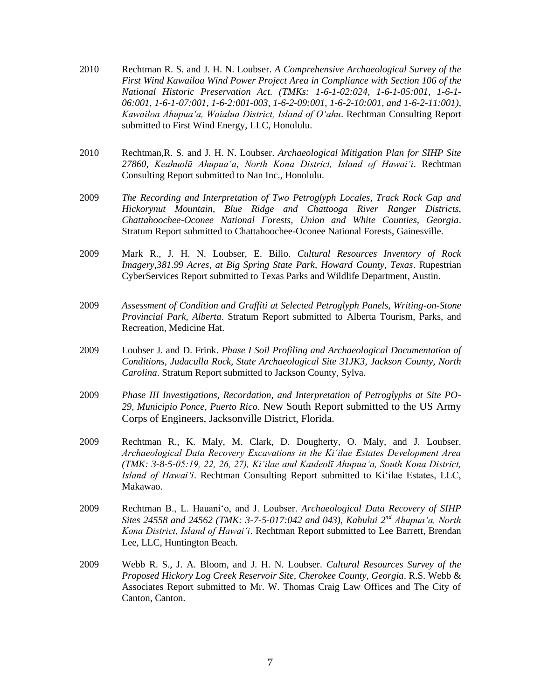- 2010 Rechtman R. S. and J. H. N. Loubser. *A Comprehensive Archaeological Survey of the First Wind Kawailoa Wind Power Project Area in Compliance with Section 106 of the National Historic Preservation Act. (TMKs: 1-6-1-02:024, 1-6-1-05:001, 1-6-1- 06:001, 1-6-1-07:001, 1-6-2:001-003, 1-6-2-09:001, 1-6-2-10:001, and 1-6-2-11:001), Kawailoa Ahupua'a, Waialua District, Island of O'ahu*. Rechtman Consulting Report submitted to First Wind Energy, LLC, Honolulu.
- 2010 Rechtman,R. S. and J. H. N. Loubser. *Archaeological Mitigation Plan for SIHP Site 27860, Keahuolū Ahupua'a, North Kona District, Island of Hawai'i*. Rechtman Consulting Report submitted to Nan Inc., Honolulu.
- 2009 *The Recording and Interpretation of Two Petroglyph Locales, Track Rock Gap and Hickorynut Mountain, Blue Ridge and Chattooga River Ranger Districts, Chattahoochee-Oconee National Forests, Union and White Counties, Georgia*. Stratum Report submitted to Chattahoochee-Oconee National Forests, Gainesville.
- 2009 Mark R., J. H. N. Loubser, E. Billo. *Cultural Resources Inventory of Rock Imagery,381.99 Acres, at Big Spring State Park, Howard County, Texas*. Rupestrian CyberServices Report submitted to Texas Parks and Wildlife Department, Austin.
- 2009 *Assessment of Condition and Graffiti at Selected Petroglyph Panels, Writing-on-Stone Provincial Park, Alberta*. Stratum Report submitted to Alberta Tourism, Parks, and Recreation, Medicine Hat.
- 2009 Loubser J. and D. Frink. *Phase I Soil Profiling and Archaeological Documentation of Conditions, Judaculla Rock, State Archaeological Site 31JK3, Jackson County, North Carolina*. Stratum Report submitted to Jackson County, Sylva.
- 2009 *Phase III Investigations, Recordation, and Interpretation of Petroglyphs at Site PO-29, Municipio Ponce, Puerto Rico*. New South Report submitted to the US Army Corps of Engineers, Jacksonville District, Florida.
- 2009 Rechtman R., K. Maly, M. Clark, D. Dougherty, O. Maly, and J. Loubser. *Archaeological Data Recovery Excavations in the Ki'ilae Estates Development Area (TMK: 3-8-5-05:19, 22, 26, 27), Ki'ilae and Kauleolī Ahupua'a, South Kona District, Island of Hawai'i*. Rechtman Consulting Report submitted to Ki'ilae Estates, LLC, Makawao.
- 2009 Rechtman B., L. Hauani'o, and J. Loubser. *Archaeological Data Recovery of SIHP Sites 24558 and 24562 (TMK: 3-7-5-017:042 and 043), Kahului 2nd Ahupua'a, North Kona District, Island of Hawai'i*. Rechtman Report submitted to Lee Barrett, Brendan Lee, LLC, Huntington Beach.
- 2009 Webb R. S., J. A. Bloom, and J. H. N. Loubser. *Cultural Resources Survey of the Proposed Hickory Log Creek Reservoir Site, Cherokee County, Georgia*. R.S. Webb & Associates Report submitted to Mr. W. Thomas Craig Law Offices and The City of Canton, Canton.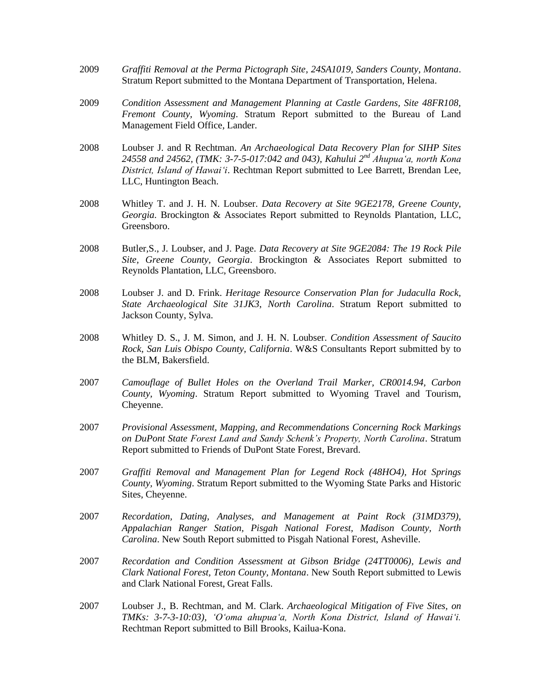- 2009 *Graffiti Removal at the Perma Pictograph Site, 24SA1019, Sanders County, Montana*. Stratum Report submitted to the Montana Department of Transportation, Helena.
- 2009 *Condition Assessment and Management Planning at Castle Gardens, Site 48FR108, Fremont County, Wyoming*. Stratum Report submitted to the Bureau of Land Management Field Office, Lander.
- 2008 Loubser J. and R Rechtman. *An Archaeological Data Recovery Plan for SIHP Sites 24558 and 24562, (TMK: 3-7-5-017:042 and 043), Kahului 2nd Ahupua'a, north Kona District, Island of Hawai'i*. Rechtman Report submitted to Lee Barrett, Brendan Lee, LLC, Huntington Beach.
- 2008 Whitley T. and J. H. N. Loubser. *Data Recovery at Site 9GE2178, Greene County, Georgia*. Brockington & Associates Report submitted to Reynolds Plantation, LLC, Greensboro.
- 2008 Butler,S., J. Loubser, and J. Page. *Data Recovery at Site 9GE2084: The 19 Rock Pile Site, Greene County, Georgia*. Brockington & Associates Report submitted to Reynolds Plantation, LLC, Greensboro.
- 2008 Loubser J. and D. Frink. *Heritage Resource Conservation Plan for Judaculla Rock, State Archaeological Site 31JK3*, *North Carolina*. Stratum Report submitted to Jackson County, Sylva.
- 2008 Whitley D. S., J. M. Simon, and J. H. N. Loubser. *Condition Assessment of Saucito Rock, San Luis Obispo County, California*. W&S Consultants Report submitted by to the BLM, Bakersfield.
- 2007 *Camouflage of Bullet Holes on the Overland Trail Marker, CR0014.94, Carbon County, Wyoming*. Stratum Report submitted to Wyoming Travel and Tourism, Cheyenne.
- 2007 *Provisional Assessment, Mapping, and Recommendations Concerning Rock Markings on DuPont State Forest Land and Sandy Schenk's Property, North Carolina*. Stratum Report submitted to Friends of DuPont State Forest, Brevard.
- 2007 *Graffiti Removal and Management Plan for Legend Rock (48HO4), Hot Springs County, Wyoming*. Stratum Report submitted to the Wyoming State Parks and Historic Sites, Cheyenne.
- 2007 *Recordation, Dating, Analyses, and Management at Paint Rock (31MD379), Appalachian Ranger Station, Pisgah National Forest, Madison County, North Carolina*. New South Report submitted to Pisgah National Forest, Asheville.
- 2007 *Recordation and Condition Assessment at Gibson Bridge (24TT0006), Lewis and Clark National Forest, Teton County, Montana*. New South Report submitted to Lewis and Clark National Forest, Great Falls.
- 2007 Loubser J., B. Rechtman, and M. Clark. *Archaeological Mitigation of Five Sites, on TMKs: 3-7-3-10:03), 'O'oma ahupua'a, North Kona District, Island of Hawai'i.* Rechtman Report submitted to Bill Brooks, Kailua-Kona.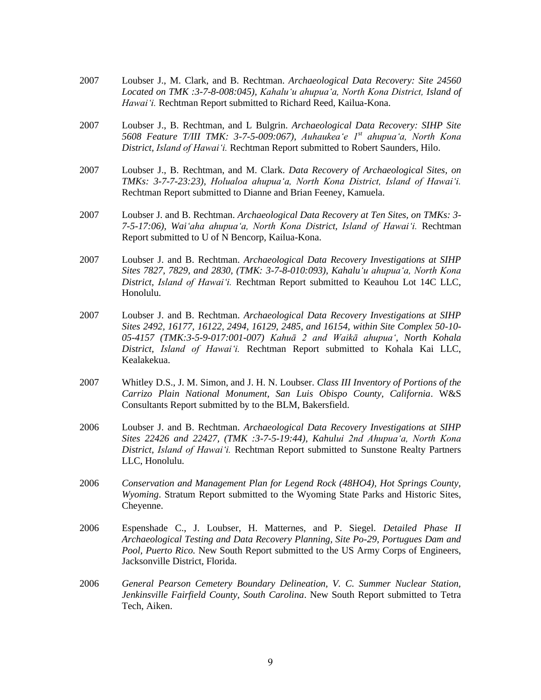- 2007 Loubser J., M. Clark, and B. Rechtman. *Archaeological Data Recovery: Site 24560 Located on TMK :3-7-8-008:045), Kahalu'u ahupua'a, North Kona District, Island of Hawai'i.* Rechtman Report submitted to Richard Reed, Kailua-Kona.
- 2007 Loubser J., B. Rechtman, and L Bulgrin. *Archaeological Data Recovery: SIHP Site 5608 Feature T/III TMK: 3-7-5-009:067), Auhaukea'e 1st ahupua'a, North Kona District, Island of Hawai'i.* Rechtman Report submitted to Robert Saunders, Hilo.
- 2007 Loubser J., B. Rechtman, and M. Clark. *Data Recovery of Archaeological Sites, on TMKs: 3-7-7-23:23), Holualoa ahupua'a, North Kona District, Island of Hawai'i.* Rechtman Report submitted to Dianne and Brian Feeney, Kamuela.
- 2007 Loubser J. and B. Rechtman. *Archaeological Data Recovery at Ten Sites, on TMKs: 3- 7-5-17:06), Wai'aha ahupua'a, North Kona District, Island of Hawai'i.* Rechtman Report submitted to U of N Bencorp, Kailua-Kona.
- 2007 Loubser J. and B. Rechtman. *Archaeological Data Recovery Investigations at SIHP Sites 7827, 7829, and 2830, (TMK: 3-7-8-010:093), Kahalu'u ahupua'a, North Kona District, Island of Hawai'i.* Rechtman Report submitted to Keauhou Lot 14C LLC, Honolulu.
- 2007 Loubser J. and B. Rechtman. *Archaeological Data Recovery Investigations at SIHP Sites 2492, 16177, 16122, 2494, 16129, 2485, and 16154, within Site Complex 50-10- 05-4157 (TMK:3-5-9-017:001-007) Kahuā 2 and Waikā ahupua', North Kohala District, Island of Hawai'i.* Rechtman Report submitted to Kohala Kai LLC, Kealakekua.
- 2007 Whitley D.S., J. M. Simon, and J. H. N. Loubser. *Class III Inventory of Portions of the Carrizo Plain National Monument, San Luis Obispo County, California*. W&S Consultants Report submitted by to the BLM, Bakersfield.
- 2006 Loubser J. and B. Rechtman. *Archaeological Data Recovery Investigations at SIHP Sites 22426 and 22427, (TMK :3-7-5-19:44), Kahului 2nd Ahupua'a, North Kona District, Island of Hawai'i.* Rechtman Report submitted to Sunstone Realty Partners LLC, Honolulu.
- 2006 *Conservation and Management Plan for Legend Rock (48HO4), Hot Springs County, Wyoming*. Stratum Report submitted to the Wyoming State Parks and Historic Sites, Cheyenne.
- 2006 Espenshade C., J. Loubser, H. Matternes, and P. Siegel. *Detailed Phase II Archaeological Testing and Data Recovery Planning, Site Po-29, Portugues Dam and Pool, Puerto Rico.* New South Report submitted to the US Army Corps of Engineers, Jacksonville District, Florida.
- 2006 *General Pearson Cemetery Boundary Delineation, V. C. Summer Nuclear Station, Jenkinsville Fairfield County, South Carolina*. New South Report submitted to Tetra Tech, Aiken.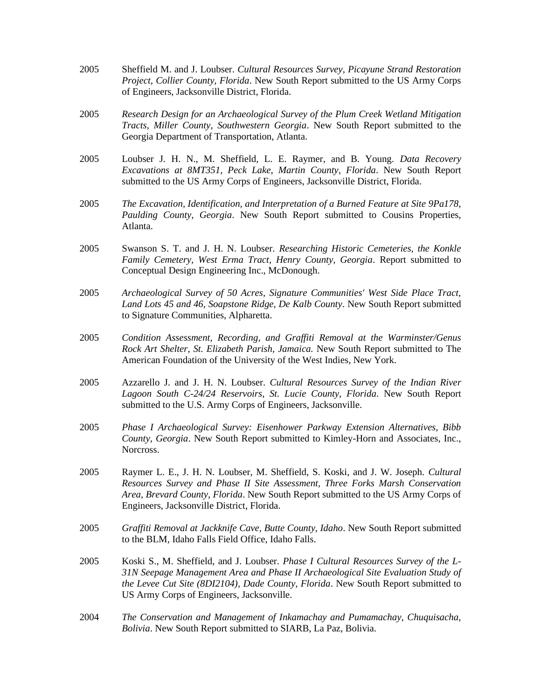- 2005 Sheffield M. and J. Loubser. *Cultural Resources Survey, Picayune Strand Restoration Project, Collier County, Florida*. New South Report submitted to the US Army Corps of Engineers, Jacksonville District, Florida.
- 2005 *Research Design for an Archaeological Survey of the Plum Creek Wetland Mitigation Tracts, Miller County, Southwestern Georgia*. New South Report submitted to the Georgia Department of Transportation, Atlanta.
- 2005 Loubser J. H. N., M. Sheffield, L. E. Raymer, and B. Young. *Data Recovery Excavations at 8MT351, Peck Lake, Martin County, Florida*. New South Report submitted to the US Army Corps of Engineers, Jacksonville District, Florida.
- 2005 *The Excavation, Identification, and Interpretation of a Burned Feature at Site 9Pa178, Paulding County, Georgia*. New South Report submitted to Cousins Properties, Atlanta.
- 2005 Swanson S. T. and J. H. N. Loubser. *Researching Historic Cemeteries, the Konkle Family Cemetery, West Erma Tract, Henry County, Georgia*. Report submitted to Conceptual Design Engineering Inc., McDonough.
- 2005 *Archaeological Survey of 50 Acres, Signature Communities' West Side Place Tract, Land Lots 45 and 46, Soapstone Ridge, De Kalb County*. New South Report submitted to Signature Communities, Alpharetta.
- 2005 *Condition Assessment, Recording, and Graffiti Removal at the Warminster/Genus Rock Art Shelter, St. Elizabeth Parish, Jamaica.* New South Report submitted to The American Foundation of the University of the West Indies, New York.
- 2005 Azzarello J. and J. H. N. Loubser. *Cultural Resources Survey of the Indian River Lagoon South C-24/24 Reservoirs, St. Lucie County, Florida*. New South Report submitted to the U.S. Army Corps of Engineers, Jacksonville.
- 2005 *Phase I Archaeological Survey: Eisenhower Parkway Extension Alternatives, Bibb County, Georgia*. New South Report submitted to Kimley-Horn and Associates, Inc., Norcross.
- 2005 Raymer L. E., J. H. N. Loubser, M. Sheffield, S. Koski, and J. W. Joseph. *Cultural Resources Survey and Phase II Site Assessment, Three Forks Marsh Conservation Area, Brevard County, Florida*. New South Report submitted to the US Army Corps of Engineers, Jacksonville District, Florida.
- 2005 *Graffiti Removal at Jackknife Cave, Butte County, Idaho*. New South Report submitted to the BLM, Idaho Falls Field Office, Idaho Falls.
- 2005 Koski S., M. Sheffield, and J. Loubser. *Phase I Cultural Resources Survey of the L-31N Seepage Management Area and Phase II Archaeological Site Evaluation Study of the Levee Cut Site (8DI2104), Dade County, Florida*. New South Report submitted to US Army Corps of Engineers, Jacksonville.
- 2004 *The Conservation and Management of Inkamachay and Pumamachay, Chuquisacha, Bolivia*. New South Report submitted to SIARB, La Paz, Bolivia.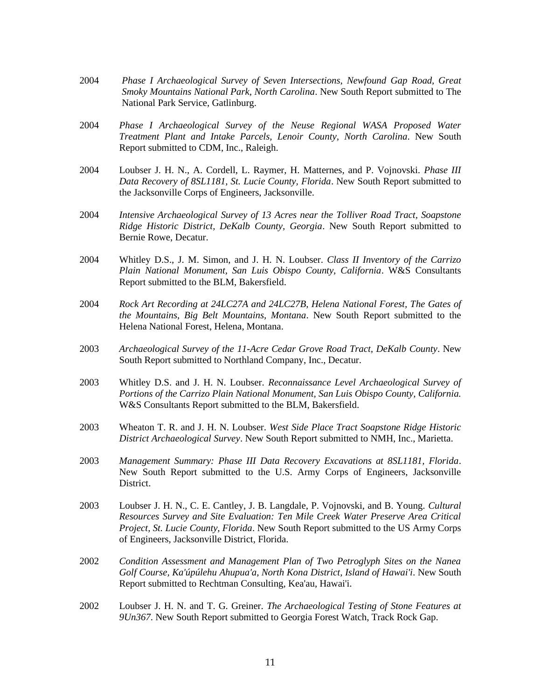- 2004 *Phase I Archaeological Survey of Seven Intersections, Newfound Gap Road, Great Smoky Mountains National Park, North Carolina*. New South Report submitted to The National Park Service, Gatlinburg.
- 2004 *Phase I Archaeological Survey of the Neuse Regional WASA Proposed Water Treatment Plant and Intake Parcels, Lenoir County, North Carolina*. New South Report submitted to CDM, Inc., Raleigh.
- 2004 Loubser J. H. N., A. Cordell, L. Raymer, H. Matternes, and P. Vojnovski. *Phase III Data Recovery of 8SL1181, St. Lucie County, Florida*. New South Report submitted to the Jacksonville Corps of Engineers, Jacksonville.
- 2004 *Intensive Archaeological Survey of 13 Acres near the Tolliver Road Tract, Soapstone Ridge Historic District, DeKalb County, Georgia*. New South Report submitted to Bernie Rowe, Decatur.
- 2004 Whitley D.S., J. M. Simon, and J. H. N. Loubser. *Class II Inventory of the Carrizo Plain National Monument, San Luis Obispo County, California*. W&S Consultants Report submitted to the BLM, Bakersfield.
- 2004 *Rock Art Recording at 24LC27A and 24LC27B, Helena National Forest, The Gates of the Mountains, Big Belt Mountains, Montana*. New South Report submitted to the Helena National Forest, Helena, Montana.
- 2003 *Archaeological Survey of the 11-Acre Cedar Grove Road Tract, DeKalb County*. New South Report submitted to Northland Company, Inc., Decatur.
- 2003 Whitley D.S. and J. H. N. Loubser. *Reconnaissance Level Archaeological Survey of Portions of the Carrizo Plain National Monument, San Luis Obispo County, California.* W&S Consultants Report submitted to the BLM, Bakersfield.
- 2003 Wheaton T. R. and J. H. N. Loubser. *West Side Place Tract Soapstone Ridge Historic District Archaeological Survey*. New South Report submitted to NMH, Inc., Marietta.
- 2003 *Management Summary: Phase III Data Recovery Excavations at 8SL1181, Florida*. New South Report submitted to the U.S. Army Corps of Engineers, Jacksonville District.
- 2003 Loubser J. H. N., C. E. Cantley, J. B. Langdale, P. Vojnovski, and B. Young. *Cultural Resources Survey and Site Evaluation: Ten Mile Creek Water Preserve Area Critical Project, St. Lucie County, Florida*. New South Report submitted to the US Army Corps of Engineers, Jacksonville District, Florida.
- 2002 *Condition Assessment and Management Plan of Two Petroglyph Sites on the Nanea Golf Course, Ka'úpúlehu Ahupua'a, North Kona District, Island of Hawai'i*. New South Report submitted to Rechtman Consulting, Kea'au, Hawai'i.
- 2002 Loubser J. H. N. and T. G. Greiner. *The Archaeological Testing of Stone Features at 9Un367*. New South Report submitted to Georgia Forest Watch, Track Rock Gap.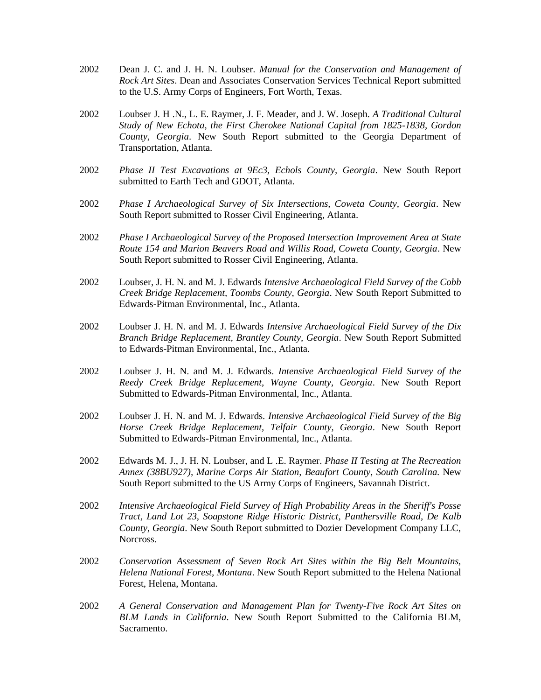- 2002 Dean J. C. and J. H. N. Loubser. *Manual for the Conservation and Management of Rock Art Sites*. Dean and Associates Conservation Services Technical Report submitted to the U.S. Army Corps of Engineers, Fort Worth, Texas.
- 2002 Loubser J. H .N., L. E. Raymer, J. F. Meader, and J. W. Joseph. *A Traditional Cultural Study of New Echota, the First Cherokee National Capital from 1825-1838, Gordon County, Georgia*. New South Report submitted to the Georgia Department of Transportation, Atlanta.
- 2002 *Phase II Test Excavations at 9Ec3, Echols County, Georgia*. New South Report submitted to Earth Tech and GDOT, Atlanta.
- 2002 *Phase I Archaeological Survey of Six Intersections, Coweta County, Georgia*. New South Report submitted to Rosser Civil Engineering, Atlanta.
- 2002 *Phase I Archaeological Survey of the Proposed Intersection Improvement Area at State Route 154 and Marion Beavers Road and Willis Road, Coweta County, Georgia*. New South Report submitted to Rosser Civil Engineering, Atlanta.
- 2002 Loubser, J. H. N. and M. J. Edwards *Intensive Archaeological Field Survey of the Cobb Creek Bridge Replacement, Toombs County, Georgia*. New South Report Submitted to Edwards-Pitman Environmental, Inc., Atlanta.
- 2002 Loubser J. H. N. and M. J. Edwards *Intensive Archaeological Field Survey of the Dix Branch Bridge Replacement, Brantley County, Georgia*. New South Report Submitted to Edwards-Pitman Environmental, Inc., Atlanta.
- 2002 Loubser J. H. N. and M. J. Edwards. *Intensive Archaeological Field Survey of the Reedy Creek Bridge Replacement, Wayne County, Georgia*. New South Report Submitted to Edwards-Pitman Environmental, Inc., Atlanta.
- 2002 Loubser J. H. N. and M. J. Edwards. *Intensive Archaeological Field Survey of the Big Horse Creek Bridge Replacement, Telfair County, Georgia*. New South Report Submitted to Edwards-Pitman Environmental, Inc., Atlanta.
- 2002 Edwards M. J., J. H. N. Loubser, and L .E. Raymer. *Phase II Testing at The Recreation Annex (38BU927), Marine Corps Air Station, Beaufort County, South Carolina*. New South Report submitted to the US Army Corps of Engineers, Savannah District.
- 2002 *Intensive Archaeological Field Survey of High Probability Areas in the Sheriff's Posse Tract, Land Lot 23, Soapstone Ridge Historic District, Panthersville Road, De Kalb County, Georgia*. New South Report submitted to Dozier Development Company LLC, Norcross.
- 2002 *Conservation Assessment of Seven Rock Art Sites within the Big Belt Mountains, Helena National Forest, Montana*. New South Report submitted to the Helena National Forest, Helena, Montana.
- 2002 *A General Conservation and Management Plan for Twenty-Five Rock Art Sites on BLM Lands in California*. New South Report Submitted to the California BLM, Sacramento.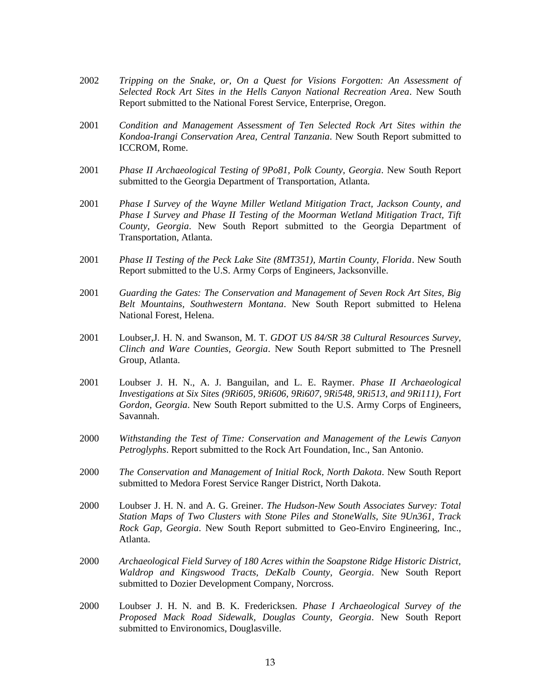- 2002 *Tripping on the Snake, or, On a Quest for Visions Forgotten: An Assessment of Selected Rock Art Sites in the Hells Canyon National Recreation Area*. New South Report submitted to the National Forest Service, Enterprise, Oregon.
- 2001 *Condition and Management Assessment of Ten Selected Rock Art Sites within the Kondoa-Irangi Conservation Area, Central Tanzania*. New South Report submitted to ICCROM, Rome.
- 2001 *Phase II Archaeological Testing of 9Po81, Polk County, Georgia*. New South Report submitted to the Georgia Department of Transportation, Atlanta.
- 2001 *Phase I Survey of the Wayne Miller Wetland Mitigation Tract, Jackson County, and Phase I Survey and Phase II Testing of the Moorman Wetland Mitigation Tract, Tift County, Georgia*. New South Report submitted to the Georgia Department of Transportation, Atlanta.
- 2001 *Phase II Testing of the Peck Lake Site (8MT351), Martin County, Florida*. New South Report submitted to the U.S. Army Corps of Engineers, Jacksonville.
- 2001 *Guarding the Gates: The Conservation and Management of Seven Rock Art Sites, Big Belt Mountains, Southwestern Montana*. New South Report submitted to Helena National Forest, Helena.
- 2001 Loubser,J. H. N. and Swanson, M. T. *GDOT US 84/SR 38 Cultural Resources Survey, Clinch and Ware Counties, Georgia*. New South Report submitted to The Presnell Group, Atlanta.
- 2001 Loubser J. H. N., A. J. Banguilan, and L. E. Raymer. *Phase II Archaeological Investigations at Six Sites (9Ri605, 9Ri606, 9Ri607, 9Ri548, 9Ri513, and 9Ri111), Fort Gordon, Georgia*. New South Report submitted to the U.S. Army Corps of Engineers, Savannah.
- 2000 *Withstanding the Test of Time: Conservation and Management of the Lewis Canyon Petroglyphs*. Report submitted to the Rock Art Foundation, Inc., San Antonio.
- 2000 *The Conservation and Management of Initial Rock, North Dakota*. New South Report submitted to Medora Forest Service Ranger District, North Dakota.
- 2000 Loubser J. H. N. and A. G. Greiner. *The Hudson-New South Associates Survey: Total Station Maps of Two Clusters with Stone Piles and StoneWalls, Site 9Un361, Track Rock Gap, Georgia*. New South Report submitted to Geo-Enviro Engineering, Inc., Atlanta.
- 2000 *Archaeological Field Survey of 180 Acres within the Soapstone Ridge Historic District, Waldrop and Kingswood Tracts, DeKalb County, Georgia*. New South Report submitted to Dozier Development Company, Norcross.
- 2000 Loubser J. H. N. and B. K. Fredericksen. *Phase I Archaeological Survey of the Proposed Mack Road Sidewalk, Douglas County, Georgia*. New South Report submitted to Environomics, Douglasville.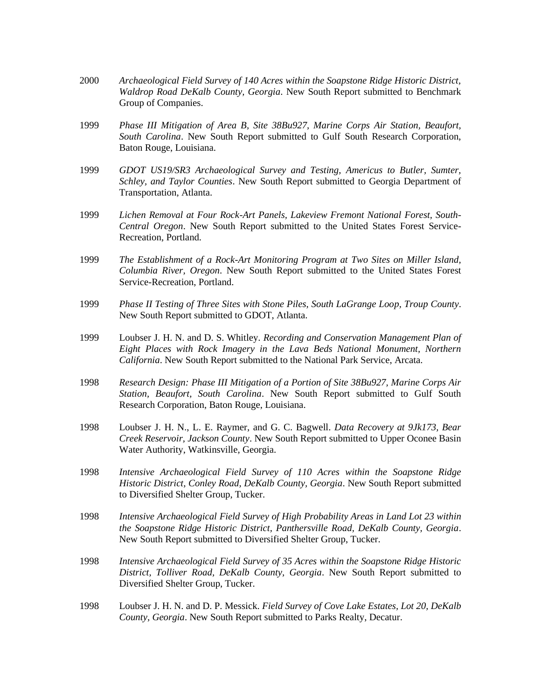- 2000 *Archaeological Field Survey of 140 Acres within the Soapstone Ridge Historic District, Waldrop Road DeKalb County, Georgia*. New South Report submitted to Benchmark Group of Companies.
- 1999 *Phase III Mitigation of Area B, Site 38Bu927, Marine Corps Air Station, Beaufort, South Carolina*. New South Report submitted to Gulf South Research Corporation, Baton Rouge, Louisiana.
- 1999 *GDOT US19/SR3 Archaeological Survey and Testing, Americus to Butler, Sumter, Schley, and Taylor Counties*. New South Report submitted to Georgia Department of Transportation, Atlanta.
- 1999 *Lichen Removal at Four Rock-Art Panels, Lakeview Fremont National Forest, South-Central Oregon*. New South Report submitted to the United States Forest Service-Recreation, Portland.
- 1999 *The Establishment of a Rock-Art Monitoring Program at Two Sites on Miller Island, Columbia River, Oregon*. New South Report submitted to the United States Forest Service-Recreation, Portland.
- 1999 *Phase II Testing of Three Sites with Stone Piles, South LaGrange Loop, Troup County*. New South Report submitted to GDOT, Atlanta.
- 1999 Loubser J. H. N. and D. S. Whitley. *Recording and Conservation Management Plan of Eight Places with Rock Imagery in the Lava Beds National Monument, Northern California*. New South Report submitted to the National Park Service, Arcata.
- 1998 *Research Design: Phase III Mitigation of a Portion of Site 38Bu927, Marine Corps Air Station, Beaufort, South Carolina*. New South Report submitted to Gulf South Research Corporation, Baton Rouge, Louisiana.
- 1998 Loubser J. H. N., L. E. Raymer, and G. C. Bagwell. *Data Recovery at 9Jk173, Bear Creek Reservoir, Jackson County*. New South Report submitted to Upper Oconee Basin Water Authority, Watkinsville, Georgia.
- 1998 *Intensive Archaeological Field Survey of 110 Acres within the Soapstone Ridge Historic District, Conley Road, DeKalb County, Georgia*. New South Report submitted to Diversified Shelter Group, Tucker.
- 1998 *Intensive Archaeological Field Survey of High Probability Areas in Land Lot 23 within the Soapstone Ridge Historic District, Panthersville Road, DeKalb County, Georgia*. New South Report submitted to Diversified Shelter Group, Tucker.
- 1998 *Intensive Archaeological Field Survey of 35 Acres within the Soapstone Ridge Historic District, Tolliver Road, DeKalb County, Georgia*. New South Report submitted to Diversified Shelter Group, Tucker.
- 1998 Loubser J. H. N. and D. P. Messick. *Field Survey of Cove Lake Estates, Lot 20, DeKalb County, Georgia*. New South Report submitted to Parks Realty, Decatur.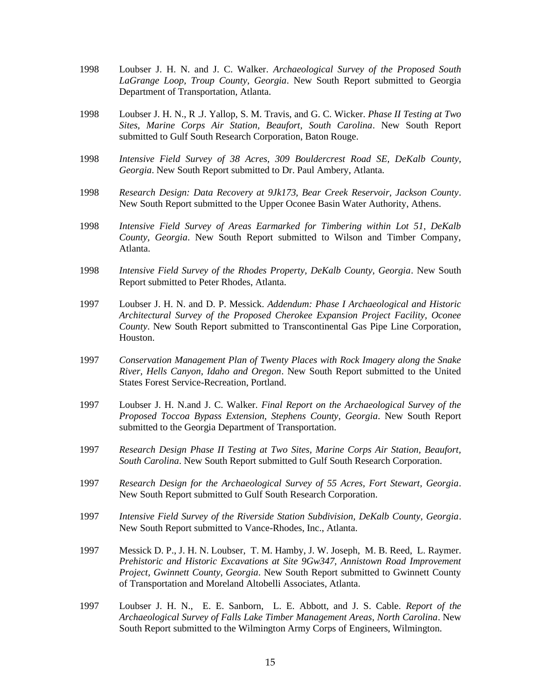- 1998 Loubser J. H. N. and J. C. Walker. *Archaeological Survey of the Proposed South LaGrange Loop, Troup County, Georgia*. New South Report submitted to Georgia Department of Transportation, Atlanta.
- 1998 Loubser J. H. N., R .J. Yallop, S. M. Travis, and G. C. Wicker. *Phase II Testing at Two Sites, Marine Corps Air Station, Beaufort, South Carolina*. New South Report submitted to Gulf South Research Corporation, Baton Rouge.
- 1998 *Intensive Field Survey of 38 Acres, 309 Bouldercrest Road SE, DeKalb County, Georgia*. New South Report submitted to Dr. Paul Ambery, Atlanta.
- 1998 *Research Design: Data Recovery at 9Jk173, Bear Creek Reservoir, Jackson County*. New South Report submitted to the Upper Oconee Basin Water Authority, Athens.
- 1998 *Intensive Field Survey of Areas Earmarked for Timbering within Lot 51, DeKalb County, Georgia*. New South Report submitted to Wilson and Timber Company, Atlanta.
- 1998 *Intensive Field Survey of the Rhodes Property, DeKalb County, Georgia*. New South Report submitted to Peter Rhodes, Atlanta.
- 1997 Loubser J. H. N. and D. P. Messick. *Addendum: Phase I Archaeological and Historic Architectural Survey of the Proposed Cherokee Expansion Project Facility, Oconee County*. New South Report submitted to Transcontinental Gas Pipe Line Corporation, Houston.
- 1997 *Conservation Management Plan of Twenty Places with Rock Imagery along the Snake River, Hells Canyon, Idaho and Oregon*. New South Report submitted to the United States Forest Service-Recreation, Portland.
- 1997 Loubser J. H. N.and J. C. Walker. *Final Report on the Archaeological Survey of the Proposed Toccoa Bypass Extension, Stephens County, Georgia*. New South Report submitted to the Georgia Department of Transportation.
- 1997 *Research Design Phase II Testing at Two Sites, Marine Corps Air Station, Beaufort, South Carolina*. New South Report submitted to Gulf South Research Corporation.
- 1997 *Research Design for the Archaeological Survey of 55 Acres, Fort Stewart, Georgia*. New South Report submitted to Gulf South Research Corporation.
- 1997 *Intensive Field Survey of the Riverside Station Subdivision, DeKalb County, Georgia*. New South Report submitted to Vance-Rhodes, Inc., Atlanta.
- 1997 Messick D. P., J. H. N. Loubser, T. M. Hamby, J. W. Joseph, M. B. Reed, L. Raymer. *Prehistoric and Historic Excavations at Site 9Gw347, Annistown Road Improvement Project, Gwinnett County, Georgia*. New South Report submitted to Gwinnett County of Transportation and Moreland Altobelli Associates, Atlanta.
- 1997 Loubser J. H. N., E. E. Sanborn, L. E. Abbott, and J. S. Cable. *Report of the Archaeological Survey of Falls Lake Timber Management Areas, North Carolina*. New South Report submitted to the Wilmington Army Corps of Engineers, Wilmington.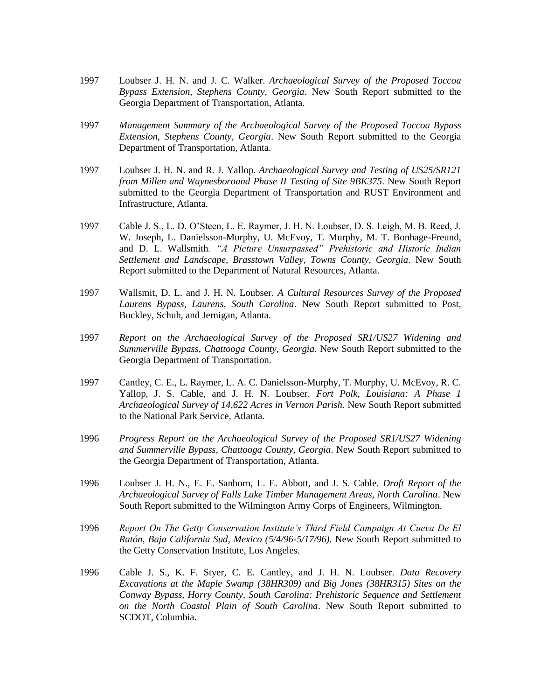- 1997 Loubser J. H. N. and J. C. Walker. *Archaeological Survey of the Proposed Toccoa Bypass Extension, Stephens County, Georgia*. New South Report submitted to the Georgia Department of Transportation, Atlanta.
- 1997 *Management Summary of the Archaeological Survey of the Proposed Toccoa Bypass Extension, Stephens County, Georgia*. New South Report submitted to the Georgia Department of Transportation, Atlanta.
- 1997 Loubser J. H. N. and R. J. Yallop. *Archaeological Survey and Testing of US25/SR121 from Millen and Waynesboroand Phase II Testing of Site 9BK375*. New South Report submitted to the Georgia Department of Transportation and RUST Environment and Infrastructure, Atlanta.
- 1997 Cable J. S., L. D. O'Steen, L. E. Raymer, J. H. N. Loubser, D. S. Leigh, M. B. Reed, J. W. Joseph, L. Danielsson-Murphy, U. McEvoy, T. Murphy, M. T. Bonhage-Freund, and D. L. Wallsmith*. "A Picture Unsurpassed" Prehistoric and Historic Indian Settlement and Landscape, Brasstown Valley, Towns County, Georgia*. New South Report submitted to the Department of Natural Resources, Atlanta.
- 1997 Wallsmit, D. L. and J. H. N. Loubser. *A Cultural Resources Survey of the Proposed Laurens Bypass, Laurens, South Carolina*. New South Report submitted to Post, Buckley, Schuh, and Jernigan, Atlanta.
- 1997 *Report on the Archaeological Survey of the Proposed SR1/US27 Widening and Summerville Bypass, Chattooga County, Georgia*. New South Report submitted to the Georgia Department of Transportation.
- 1997 Cantley, C. E., L. Raymer, L. A. C. Danielsson-Murphy, T. Murphy, U. McEvoy, R. C. Yallop, J. S. Cable, and J. H. N. Loubser*. Fort Polk, Louisiana: A Phase 1 Archaeological Survey of 14,622 Acres in Vernon Parish*. New South Report submitted to the National Park Service, Atlanta.
- 1996 *Progress Report on the Archaeological Survey of the Proposed SR1/US27 Widening and Summerville Bypass, Chattooga County, Georgia*. New South Report submitted to the Georgia Department of Transportation, Atlanta.
- 1996 Loubser J. H. N., E. E. Sanborn, L. E. Abbott, and J. S. Cable. *Draft Report of the Archaeological Survey of Falls Lake Timber Management Areas, North Carolina*. New South Report submitted to the Wilmington Army Corps of Engineers, Wilmington.
- 1996 *Report On The Getty Conservation Institute's Third Field Campaign At Cueva De El Ratón, Baja California Sud, Mexico (5/4/96-5/17/96)*. New South Report submitted to the Getty Conservation Institute, Los Angeles.
- 1996 Cable J. S., K. F. Styer, C. E. Cantley, and J. H. N. Loubser. *Data Recovery Excavations at the Maple Swamp (38HR309) and Big Jones (38HR315) Sites on the Conway Bypass, Horry County, South Carolina: Prehistoric Sequence and Settlement on the North Coastal Plain of South Carolina*. New South Report submitted to SCDOT, Columbia.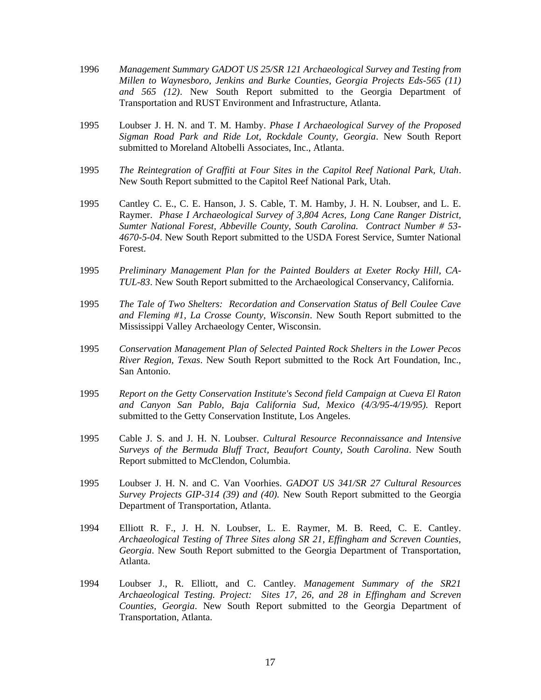- 1996 *Management Summary GADOT US 25/SR 121 Archaeological Survey and Testing from Millen to Waynesboro, Jenkins and Burke Counties, Georgia Projects Eds-565 (11) and 565 (12)*. New South Report submitted to the Georgia Department of Transportation and RUST Environment and Infrastructure, Atlanta.
- 1995 Loubser J. H. N. and T. M. Hamby. *Phase I Archaeological Survey of the Proposed Sigman Road Park and Ride Lot, Rockdale County, Georgia*. New South Report submitted to Moreland Altobelli Associates, Inc., Atlanta.
- 1995 *The Reintegration of Graffiti at Four Sites in the Capitol Reef National Park, Utah*. New South Report submitted to the Capitol Reef National Park, Utah.
- 1995 Cantley C. E., C. E. Hanson, J. S. Cable, T. M. Hamby, J. H. N. Loubser, and L. E. Raymer. *Phase I Archaeological Survey of 3,804 Acres, Long Cane Ranger District, Sumter National Forest, Abbeville County, South Carolina. Contract Number # 53- 4670-5-04*. New South Report submitted to the USDA Forest Service, Sumter National Forest.
- 1995 *Preliminary Management Plan for the Painted Boulders at Exeter Rocky Hill, CA-TUL-83*. New South Report submitted to the Archaeological Conservancy, California.
- 1995 *The Tale of Two Shelters: Recordation and Conservation Status of Bell Coulee Cave and Fleming #1, La Crosse County, Wisconsin*. New South Report submitted to the Mississippi Valley Archaeology Center, Wisconsin.
- 1995 *Conservation Management Plan of Selected Painted Rock Shelters in the Lower Pecos River Region, Texas*. New South Report submitted to the Rock Art Foundation, Inc., San Antonio.
- 1995 *Report on the Getty Conservation Institute's Second field Campaign at Cueva El Raton and Canyon San Pablo, Baja California Sud, Mexico (4/3/95-4/19/95).* Report submitted to the Getty Conservation Institute, Los Angeles.
- 1995 Cable J. S. and J. H. N. Loubser. *Cultural Resource Reconnaissance and Intensive Surveys of the Bermuda Bluff Tract, Beaufort County, South Carolina*. New South Report submitted to McClendon, Columbia.
- 1995 Loubser J. H. N. and C. Van Voorhies. *GADOT US 341/SR 27 Cultural Resources Survey Projects GIP-314 (39) and (40).* New South Report submitted to the Georgia Department of Transportation, Atlanta.
- 1994 Elliott R. F., J. H. N. Loubser, L. E. Raymer, M. B. Reed, C. E. Cantley. *Archaeological Testing of Three Sites along SR 21, Effingham and Screven Counties, Georgia*. New South Report submitted to the Georgia Department of Transportation, Atlanta.
- 1994 Loubser J., R. Elliott, and C. Cantley*. Management Summary of the SR21 Archaeological Testing. Project: Sites 17, 26, and 28 in Effingham and Screven Counties, Georgia*. New South Report submitted to the Georgia Department of Transportation, Atlanta.